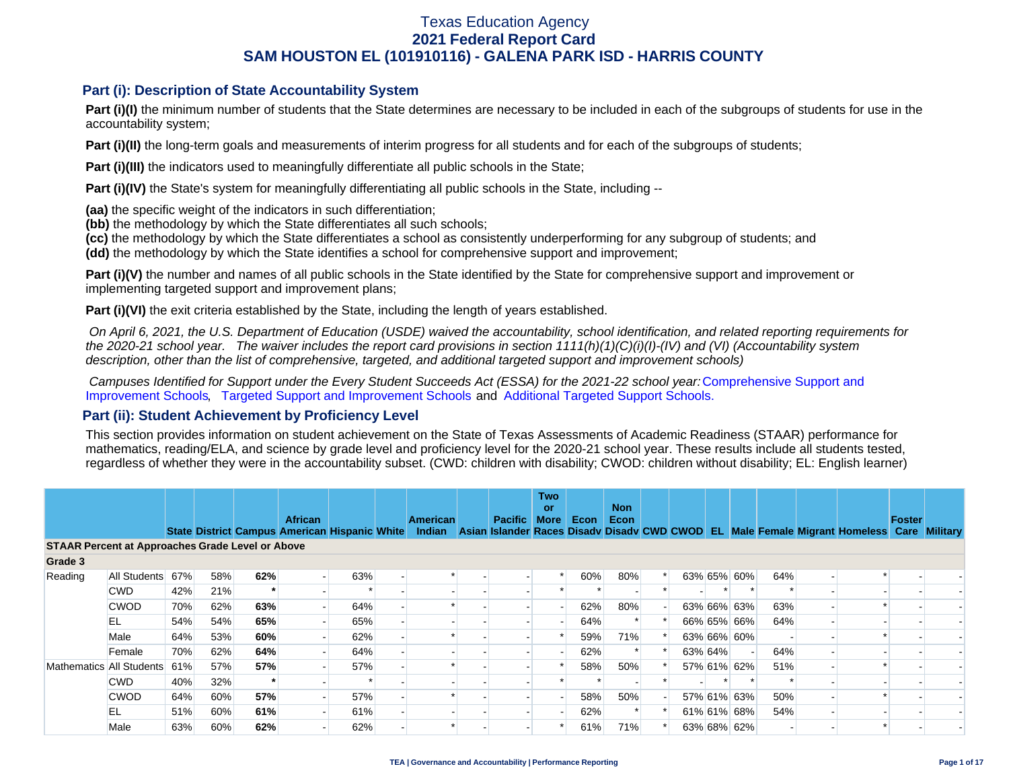### **Part (i): Description of State Accountability System**

Part (i)(I) the minimum number of students that the State determines are necessary to be included in each of the subgroups of students for use in the accountability system;

**Part (i)(II)** the long-term goals and measurements of interim progress for all students and for each of the subgroups of students;

**Part (i)(III)** the indicators used to meaningfully differentiate all public schools in the State;

**Part (i)(IV)** the State's system for meaningfully differentiating all public schools in the State, including --

**(aa)** the specific weight of the indicators in such differentiation;

**(bb)** the methodology by which the State differentiates all such schools;

**(cc)** the methodology by which the State differentiates a school as consistently underperforming for any subgroup of students; and

**(dd)** the methodology by which the State identifies a school for comprehensive support and improvement;

**Part (i)(V)** the number and names of all public schools in the State identified by the State for comprehensive support and improvement or implementing targeted support and improvement plans;

**Part (i)(VI)** the exit criteria established by the State, including the length of years established.

 *On April 6, 2021, the U.S. Department of Education (USDE) waived the accountability, school identification, and related reporting requirements for the 2020-21 school year. The waiver includes the report card provisions in section 1111(h)(1)(C)(i)(I)-(IV) and (VI) (Accountability system description, other than the list of comprehensive, targeted, and additional targeted support and improvement schools)* 

*Campuses Identified for Support under the Every Student Succeeds Act (ESSA) for the 2021-22 school year:* [Comprehensive Support and](https://tea.texas.gov/sites/default/files/comprehensive_support_2021.xlsx) [Improvement Schools](https://tea.texas.gov/sites/default/files/comprehensive_support_2021.xlsx), [Targeted Support and Improvement Schools](https://tea.texas.gov/sites/default/files/targeted_support_2021.xlsx) and [Additional Targeted Support Schools.](https://tea.texas.gov/sites/default/files/additional_targeted_support_2021.xlsx)

### **Part (ii): Student Achievement by Proficiency Level**

This section provides information on student achievement on the State of Texas Assessments of Academic Readiness (STAAR) performance for mathematics, reading/ELA, and science by grade level and proficiency level for the 2020-21 school year. These results include all students tested, regardless of whether they were in the accountability subset. (CWD: children with disability; CWOD: children without disability; EL: English learner)

|                                                         |                          |     |     |     | <b>African</b> |                                               | American | <b>Pacific</b> | <b>Two</b><br>or<br><b>More</b> | Econ | <b>Non</b><br>Econ |  |         |             |     |                                                                                           | Foster |  |
|---------------------------------------------------------|--------------------------|-----|-----|-----|----------------|-----------------------------------------------|----------|----------------|---------------------------------|------|--------------------|--|---------|-------------|-----|-------------------------------------------------------------------------------------------|--------|--|
|                                                         |                          |     |     |     |                | State District Campus American Hispanic White | Indian   |                |                                 |      |                    |  |         |             |     | Asian Islander Races Disady Disady CWD CWOD EL Male Female Migrant Homeless Care Military |        |  |
| <b>STAAR Percent at Approaches Grade Level or Above</b> |                          |     |     |     |                |                                               |          |                |                                 |      |                    |  |         |             |     |                                                                                           |        |  |
| Grade 3                                                 |                          |     |     |     |                |                                               |          |                |                                 |      |                    |  |         |             |     |                                                                                           |        |  |
| Reading                                                 | All Students             | 67% | 58% | 62% |                | 63%                                           |          |                |                                 | 60%  | 80%                |  |         | 63% 65% 60% | 64% |                                                                                           |        |  |
|                                                         | <b>CWD</b>               | 42% | 21% |     |                |                                               |          |                |                                 |      |                    |  |         |             |     |                                                                                           |        |  |
|                                                         | <b>CWOD</b>              | 70% | 62% | 63% |                | 64%                                           |          |                |                                 | 62%  | 80%                |  |         | 63% 66% 63% | 63% |                                                                                           |        |  |
|                                                         | EL                       | 54% | 54% | 65% |                | 65%                                           |          |                |                                 | 64%  |                    |  |         | 66% 65% 66% | 64% |                                                                                           |        |  |
|                                                         | Male                     | 64% | 53% | 60% |                | 62%                                           |          |                |                                 | 59%  | 71%                |  |         | 63% 66% 60% |     |                                                                                           |        |  |
|                                                         | Female                   | 70% | 62% | 64% |                | 64%                                           |          |                |                                 | 62%  |                    |  | 63% 64% |             | 64% |                                                                                           |        |  |
|                                                         | Mathematics All Students | 61% | 57% | 57% |                | 57%                                           |          |                |                                 | 58%  | 50%                |  |         | 57% 61% 62% | 51% |                                                                                           |        |  |
|                                                         | <b>CWD</b>               | 40% | 32% |     |                |                                               |          |                |                                 |      |                    |  |         |             |     |                                                                                           |        |  |
|                                                         | <b>CWOD</b>              | 64% | 60% | 57% |                | 57%                                           |          |                |                                 | 58%  | 50%                |  |         | 57% 61% 63% | 50% |                                                                                           |        |  |
|                                                         | EL                       | 51% | 60% | 61% |                | 61%                                           |          |                |                                 | 62%  |                    |  |         | 61% 61% 68% | 54% |                                                                                           |        |  |
|                                                         | Male                     | 63% | 60% | 62% |                | 62%                                           |          |                |                                 | 61%  | 71%                |  |         | 63% 68% 62% |     |                                                                                           |        |  |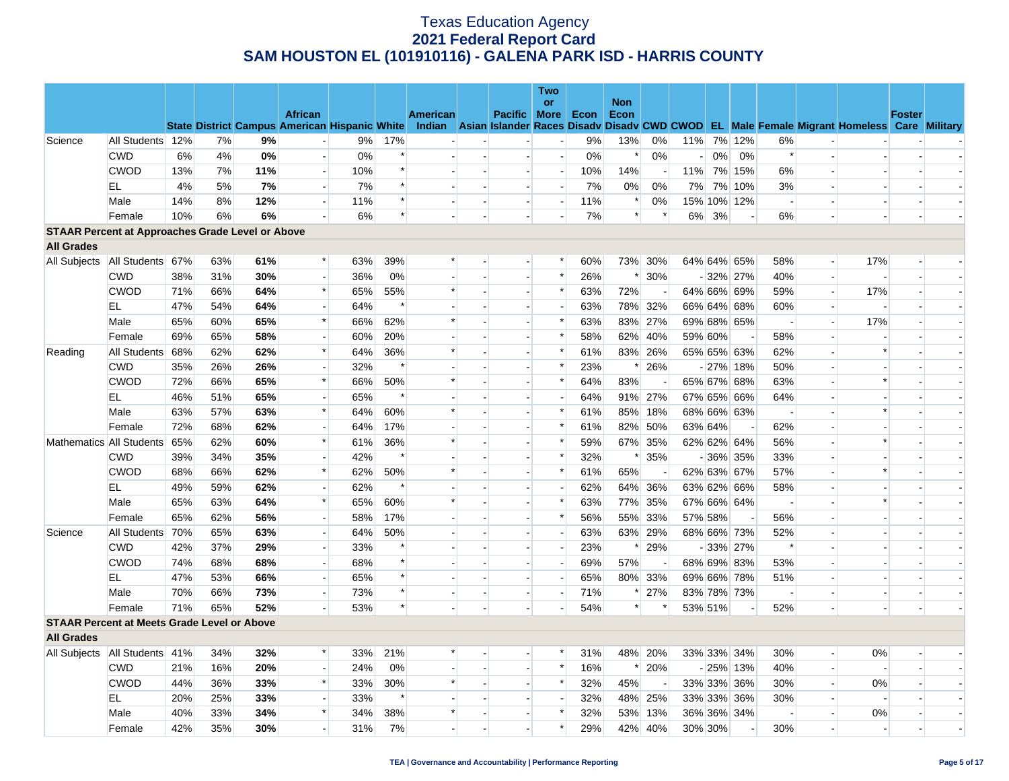|                                                         |                                   |                                                          |     |            |                                                      |     |        |        |                |                          | Two                      |     |        |         |                |       |                          |                          |                          |                                                                                                  |                          |                |
|---------------------------------------------------------|-----------------------------------|----------------------------------------------------------|-----|------------|------------------------------------------------------|-----|--------|--------|----------------|--------------------------|--------------------------|-----|--------|---------|----------------|-------|--------------------------|--------------------------|--------------------------|--------------------------------------------------------------------------------------------------|--------------------------|----------------|
|                                                         |                                   | or<br><b>African</b><br>American<br>Pacific More<br>Econ |     | <b>Non</b> |                                                      |     |        |        |                |                          |                          |     |        |         |                |       |                          |                          |                          |                                                                                                  |                          |                |
|                                                         |                                   |                                                          |     |            | <b>State District Campus American Hispanic White</b> |     |        |        |                |                          |                          |     | Econ   |         |                |       |                          |                          |                          | Indian Asian Islander Races Disady Disady CWD CWOD EL Male Female Migrant Homeless Care Military | <b>Foster</b>            |                |
| Science                                                 | All Students 12%                  |                                                          | 7%  | 9%         |                                                      | 9%  | 17%    |        |                |                          | $\overline{\phantom{a}}$ | 9%  | 13%    | 0%      | 11%            |       | 7% 12%                   | 6%                       |                          |                                                                                                  |                          |                |
|                                                         | <b>CWD</b>                        | 6%                                                       | 4%  | 0%         |                                                      | 0%  | $\ast$ |        |                |                          |                          | 0%  | $\ast$ | 0%      | $\overline{a}$ | $0\%$ | 0%                       | $\ast$                   |                          |                                                                                                  |                          |                |
|                                                         | <b>CWOD</b>                       | 13%                                                      | 7%  | 11%        | $\overline{a}$                                       | 10% | $\ast$ |        |                | $\sim$                   | $\overline{\phantom{a}}$ | 10% | 14%    |         | 11%            |       | 7% 15%                   | 6%                       |                          |                                                                                                  |                          |                |
|                                                         | EL                                | 4%                                                       | 5%  | 7%         | $\sim$                                               | 7%  | $\ast$ |        |                |                          | $\overline{\phantom{0}}$ | 7%  | 0%     | 0%      | 7%             |       | 7% 10%                   | 3%                       |                          |                                                                                                  |                          |                |
|                                                         | Male                              | 14%                                                      | 8%  | 12%        | $\overline{\phantom{a}}$                             | 11% | $\ast$ |        | $\sim$         | $\overline{a}$           | $\overline{\phantom{a}}$ | 11% | $\ast$ | 0%      |                |       | 15% 10% 12%              | $\overline{\phantom{a}}$ |                          |                                                                                                  |                          |                |
|                                                         | Female                            | 10%                                                      | 6%  | 6%         | $\overline{a}$                                       | 6%  | $\ast$ |        |                |                          | H                        | 7%  | $\ast$ | $\ast$  | $6\%$          | 3%    |                          | 6%                       |                          |                                                                                                  |                          |                |
| <b>STAAR Percent at Approaches Grade Level or Above</b> |                                   |                                                          |     |            |                                                      |     |        |        |                |                          |                          |     |        |         |                |       |                          |                          |                          |                                                                                                  |                          |                |
| <b>All Grades</b>                                       |                                   |                                                          |     |            |                                                      |     |        |        |                |                          |                          |     |        |         |                |       |                          |                          |                          |                                                                                                  |                          |                |
| All Subjects                                            | All Students 67%                  |                                                          | 63% | 61%        | $\ast$                                               | 63% | 39%    | $\ast$ |                |                          | *                        | 60% |        | 73% 30% |                |       | 64% 64% 65%              | 58%                      | $\overline{a}$           | 17%                                                                                              |                          |                |
|                                                         | <b>CWD</b>                        | 38%                                                      | 31% | 30%        | $\overline{a}$                                       | 36% | 0%     |        |                | $\sim$                   | $\ast$                   | 26% | $\ast$ | 30%     |                |       | $-32\%$ 27%              | 40%                      | $\overline{\phantom{a}}$ |                                                                                                  | $\overline{\phantom{a}}$ |                |
|                                                         | <b>CWOD</b>                       | 71%                                                      | 66% | 64%        | $\ast$                                               | 65% | 55%    | $\ast$ |                |                          | $\ast$                   | 63% | 72%    |         |                |       | 64% 66% 69%              | 59%                      | $\overline{\phantom{a}}$ | 17%                                                                                              |                          |                |
|                                                         | EL                                | 47%                                                      | 54% | 64%        | $\overline{\phantom{a}}$                             | 64% | $\ast$ |        |                | $\overline{\phantom{a}}$ | $\overline{\phantom{a}}$ | 63% | 78%    | 32%     |                |       | 66% 64% 68%              | 60%                      | $\sim$                   |                                                                                                  |                          |                |
|                                                         | Male                              | 65%                                                      | 60% | 65%        | $\ast$                                               | 66% | 62%    | $\ast$ |                | $\overline{a}$           | $\ast$                   | 63% |        | 83% 27% |                |       | 69% 68% 65%              | $\overline{\phantom{a}}$ | $\overline{a}$           | 17%                                                                                              |                          |                |
|                                                         | Female                            | 69%                                                      | 65% | 58%        | $\overline{\phantom{a}}$                             | 60% | 20%    |        |                | $\overline{\phantom{a}}$ | $\ast$                   | 58% |        | 62% 40% | 59% 60%        |       |                          | 58%                      | $\overline{\phantom{a}}$ |                                                                                                  |                          |                |
| Reading                                                 | All Students 68%                  |                                                          | 62% | 62%        | $\ast$                                               | 64% | 36%    | $\ast$ |                | $\overline{\phantom{a}}$ | $\ast$                   | 61% |        | 83% 26% |                |       | 65% 65% 63%              | 62%                      |                          | $\ast$                                                                                           |                          |                |
|                                                         | <b>CWD</b>                        | 35%                                                      | 26% | 26%        |                                                      | 32% | $\ast$ |        |                |                          | $\ast$                   | 23% | $\ast$ | 26%     |                |       | $-27\%$ 18%              | 50%                      |                          |                                                                                                  |                          |                |
|                                                         | <b>CWOD</b>                       | 72%                                                      | 66% | 65%        | $\ast$                                               | 66% | 50%    | $\ast$ | $\blacksquare$ | $\overline{\phantom{a}}$ | $\ast$                   | 64% | 83%    |         |                |       | 65% 67% 68%              | 63%                      |                          | $\ast$                                                                                           |                          |                |
|                                                         | ΕL                                | 46%                                                      | 51% | 65%        |                                                      | 65% | $\ast$ |        |                |                          |                          | 64% |        | 91% 27% |                |       | 67% 65% 66%              | 64%                      |                          |                                                                                                  |                          |                |
|                                                         | Male                              | 63%                                                      | 57% | 63%        | $\ast$                                               | 64% | 60%    | $\ast$ |                | $\overline{a}$           | $\ast$                   | 61% | 85%    | 18%     |                |       | 68% 66% 63%              | $\overline{\phantom{a}}$ |                          | $\ast$                                                                                           |                          |                |
|                                                         | Female                            | 72%                                                      | 68% | 62%        | $\overline{a}$                                       | 64% | 17%    |        |                |                          | $\ast$                   | 61% | 82%    | 50%     | 63% 64%        |       |                          | 62%                      |                          |                                                                                                  |                          |                |
|                                                         | Mathematics All Students          | 65%                                                      | 62% | 60%        | $\ast$                                               | 61% | 36%    | $\ast$ |                | $\overline{\phantom{a}}$ | $\ast$                   | 59% |        | 67% 35% |                |       | 62% 62% 64%              | 56%                      | $\overline{\phantom{a}}$ | $\ast$                                                                                           |                          |                |
|                                                         | <b>CWD</b>                        | 39%                                                      | 34% | 35%        | $\overline{a}$                                       | 42% | $\ast$ |        |                | $\overline{a}$           | $\ast$                   | 32% | $\ast$ | 35%     |                |       | $-36\%$ 35%              | 33%                      |                          |                                                                                                  |                          |                |
|                                                         | <b>CWOD</b>                       | 68%                                                      | 66% | 62%        | $\ast$                                               | 62% | 50%    | $\ast$ |                |                          | $\ast$                   | 61% | 65%    |         |                |       | 62% 63% 67%              | 57%                      |                          | $\ast$                                                                                           |                          |                |
|                                                         | EL.                               | 49%                                                      | 59% | 62%        | $\overline{\phantom{a}}$                             | 62% | $\ast$ |        |                | $\overline{a}$           |                          | 62% |        | 64% 36% |                |       | 63% 62% 66%              | 58%                      |                          |                                                                                                  |                          |                |
|                                                         | Male                              | 65%                                                      | 63% | 64%        | $\ast$                                               | 65% | 60%    | $\ast$ |                |                          | $\ast$                   | 63% | 77%    | 35%     |                |       | 67% 66% 64%              |                          |                          | $\ast$                                                                                           |                          |                |
|                                                         | Female                            | 65%                                                      | 62% | 56%        | $\overline{\phantom{a}}$                             | 58% | 17%    |        |                | $\sim$                   | $\ast$                   | 56% | 55%    | 33%     | 57% 58%        |       | $\overline{\phantom{a}}$ | 56%                      |                          |                                                                                                  |                          |                |
| Science                                                 | All Students 70%                  |                                                          | 65% | 63%        | $\sim$                                               | 64% | 50%    |        |                |                          | $\overline{\phantom{a}}$ | 63% |        | 63% 29% |                |       | 68% 66% 73%              | 52%                      |                          |                                                                                                  |                          |                |
|                                                         | <b>CWD</b>                        | 42%                                                      | 37% | 29%        | $\overline{a}$                                       | 33% |        |        |                | $\overline{\phantom{a}}$ |                          | 23% |        | 29%     |                |       | $-33\%$ 27%              | $\ast$                   |                          |                                                                                                  |                          |                |
|                                                         | <b>CWOD</b>                       | 74%                                                      | 68% | 68%        | $\overline{\phantom{a}}$                             | 68% | $\ast$ |        |                | $\overline{a}$           | $\overline{\phantom{a}}$ | 69% | 57%    | $\sim$  |                |       | 68% 69% 83%              | 53%                      |                          |                                                                                                  |                          |                |
|                                                         | EL                                | 47%                                                      | 53% | 66%        | $\overline{\phantom{a}}$                             | 65% | $\ast$ |        |                | $\overline{\phantom{a}}$ | $\overline{\phantom{a}}$ | 65% |        | 80% 33% |                |       | 69% 66% 78%              | 51%                      |                          |                                                                                                  |                          |                |
|                                                         | Male                              | 70%                                                      | 66% | 73%        | $\mathbf{r}$                                         | 73% | $\ast$ |        | $\overline{a}$ | $\overline{\phantom{a}}$ |                          | 71% | $\ast$ | 27%     |                |       | 83% 78% 73%              | $\sim$                   |                          |                                                                                                  |                          |                |
|                                                         | Female                            | 71%                                                      | 65% | 52%        |                                                      | 53% | $\ast$ |        |                |                          |                          | 54% | $\ast$ |         | 53% 51%        |       |                          | 52%                      |                          |                                                                                                  |                          |                |
| <b>STAAR Percent at Meets Grade Level or Above</b>      |                                   |                                                          |     |            |                                                      |     |        |        |                |                          |                          |     |        |         |                |       |                          |                          |                          |                                                                                                  |                          |                |
| <b>All Grades</b>                                       |                                   |                                                          |     |            |                                                      |     |        |        |                |                          |                          |     |        |         |                |       |                          |                          |                          |                                                                                                  |                          |                |
|                                                         | All Subjects   All Students   41% |                                                          | 34% | 32%        | $\ast$                                               | 33% | 21%    |        |                |                          | *                        | 31% |        | 48% 20% |                |       | 33% 33% 34%              | 30%                      | $\overline{a}$           | $0\%$                                                                                            |                          |                |
|                                                         | <b>CWD</b>                        | 21%                                                      | 16% | 20%        | $\overline{a}$                                       | 24% | 0%     |        |                | H                        | $\ast$                   | 16% | $\ast$ | 20%     |                |       | $-25%$ 13%               | 40%                      | ш.                       |                                                                                                  |                          |                |
|                                                         | <b>CWOD</b>                       | 44%                                                      | 36% | 33%        | $\ast$                                               | 33% | 30%    | $\ast$ |                | $\overline{\phantom{a}}$ | $\ast$                   | 32% | 45%    |         |                |       | 33% 33% 36%              | 30%                      | $\overline{\phantom{a}}$ | 0%                                                                                               |                          |                |
|                                                         | EL                                | 20%                                                      | 25% | 33%        | $\overline{\phantom{a}}$                             | 33% | $\ast$ |        |                | $\overline{a}$           | $\overline{a}$           | 32% | 48%    | 25%     |                |       | 33% 33% 36%              | 30%                      | $\overline{a}$           |                                                                                                  |                          |                |
|                                                         | Male                              | 40%                                                      | 33% | 34%        | $\ast$                                               | 34% | 38%    | $\ast$ |                |                          | $\ast$                   | 32% | 53%    | 13%     |                |       | 36% 36% 34%              |                          |                          | 0%                                                                                               |                          |                |
|                                                         | Female                            | 42%                                                      | 35% | 30%        |                                                      | 31% | 7%     |        |                |                          | $\ast$                   | 29% |        | 42% 40% | 30% 30%        |       |                          | 30%                      |                          |                                                                                                  | $\overline{a}$           | $\overline{a}$ |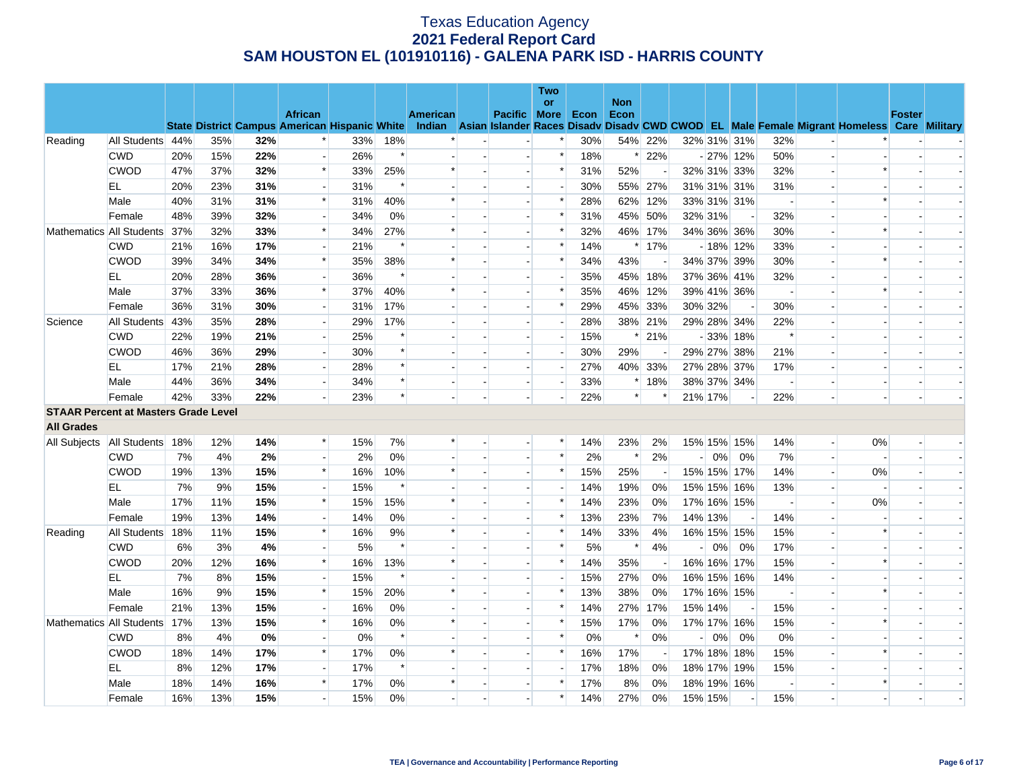|                                             |                          |     |     |     |                          |                                                      |        |                 |                          | <b>Two</b>               |      |                    |                          |                |         |                          |                          |                          |                                                                                                  |               |  |
|---------------------------------------------|--------------------------|-----|-----|-----|--------------------------|------------------------------------------------------|--------|-----------------|--------------------------|--------------------------|------|--------------------|--------------------------|----------------|---------|--------------------------|--------------------------|--------------------------|--------------------------------------------------------------------------------------------------|---------------|--|
|                                             |                          |     |     |     | <b>African</b>           |                                                      |        | <b>American</b> | Pacific More             | or                       | Econ | <b>Non</b><br>Econ |                          |                |         |                          |                          |                          |                                                                                                  | <b>Foster</b> |  |
|                                             |                          |     |     |     |                          | <b>State District Campus American Hispanic White</b> |        |                 |                          |                          |      |                    |                          |                |         |                          |                          |                          | Indian Asian Islander Races Disady Disady CWD CWOD EL Male Female Migrant Homeless Care Military |               |  |
| Reading                                     | All Students 44%         |     | 35% | 32% |                          | 33%                                                  | 18%    |                 |                          |                          | 30%  |                    | 54% 22%                  |                |         | 32% 31% 31%              | 32%                      |                          |                                                                                                  |               |  |
|                                             | <b>CWD</b>               | 20% | 15% | 22% | $\overline{a}$           | 26%                                                  | $\ast$ |                 | $\overline{\phantom{a}}$ | $\ast$                   | 18%  |                    | * 22%                    |                |         | $-27\%$ 12%              | 50%                      | $\overline{\phantom{a}}$ |                                                                                                  |               |  |
|                                             | <b>CWOD</b>              | 47% | 37% | 32% | $\ast$                   | 33%                                                  | 25%    | $\ast$          |                          | $\ast$                   | 31%  | 52%                |                          |                |         | 32% 31% 33%              | 32%                      |                          | $\ast$                                                                                           |               |  |
|                                             | EL                       | 20% | 23% | 31% | $\overline{a}$           | 31%                                                  | $\ast$ |                 |                          | $\overline{\phantom{a}}$ | 30%  |                    | 55% 27%                  |                |         | 31% 31% 31%              | 31%                      | $\rightarrow$            |                                                                                                  |               |  |
|                                             | Male                     | 40% | 31% | 31% | $\ast$                   | 31%                                                  | 40%    |                 |                          | $\ast$                   | 28%  |                    | 62% 12%                  |                |         | 33% 31% 31%              | $\overline{\phantom{a}}$ |                          |                                                                                                  |               |  |
|                                             | Female                   | 48% | 39% | 32% |                          | 34%                                                  | 0%     |                 |                          | $\ast$                   | 31%  | 45%                | 50%                      |                | 32% 31% |                          | 32%                      |                          |                                                                                                  |               |  |
|                                             | Mathematics All Students | 37% | 32% | 33% | $\ast$                   | 34%                                                  | 27%    | $\ast$          | $\overline{a}$           | $\ast$                   | 32%  |                    | 46% 17%                  |                |         | 34% 36% 36%              | 30%                      | $\overline{a}$           | $\ast$                                                                                           |               |  |
|                                             | <b>CWD</b>               | 21% | 16% | 17% |                          | 21%                                                  | $\ast$ |                 |                          | $\ast$                   | 14%  |                    | $*17%$                   |                |         | $-18\%$ 12%              | 33%                      |                          |                                                                                                  |               |  |
|                                             | <b>CWOD</b>              | 39% | 34% | 34% | $\ast$                   | 35%                                                  | 38%    | $\ast$          |                          | $\ast$                   | 34%  | 43%                |                          |                |         | 34% 37% 39%              | 30%                      | $\sim$ )                 | $\ast$                                                                                           |               |  |
|                                             | EL                       | 20% | 28% | 36% |                          | 36%                                                  | $\ast$ |                 |                          |                          | 35%  |                    | 45% 18%                  |                |         | 37% 36% 41%              | 32%                      |                          |                                                                                                  |               |  |
|                                             | Male                     | 37% | 33% | 36% | $\ast$                   | 37%                                                  | 40%    | *               |                          | $\ast$                   | 35%  |                    | 46% 12%                  |                |         | 39% 41% 36%              | $\overline{\phantom{a}}$ |                          |                                                                                                  |               |  |
|                                             | Female                   | 36% | 31% | 30% | $\overline{\phantom{a}}$ | 31%                                                  | 17%    |                 |                          | $\ast$                   | 29%  |                    | 45% 33%                  |                | 30% 32% |                          | 30%                      | $\overline{\phantom{a}}$ |                                                                                                  |               |  |
| Science                                     | All Students             | 43% | 35% | 28% |                          | 29%                                                  | 17%    |                 |                          |                          | 28%  |                    | 38% 21%                  |                |         | 29% 28% 34%              | 22%                      |                          |                                                                                                  |               |  |
|                                             | <b>CWD</b>               | 22% | 19% | 21% | $\overline{a}$           | 25%                                                  | $\ast$ |                 |                          |                          | 15%  | $\ast$             | 21%                      |                |         | $-33\%$ 18%              | $\ast$                   | $\overline{a}$           |                                                                                                  |               |  |
|                                             | <b>CWOD</b>              | 46% | 36% | 29% | $\overline{\phantom{a}}$ | 30%                                                  | $\ast$ |                 |                          |                          | 30%  | 29%                |                          |                |         | 29% 27% 38%              | 21%                      | $\overline{\phantom{a}}$ |                                                                                                  |               |  |
|                                             | EL                       | 17% | 21% | 28% |                          | 28%                                                  | $\ast$ |                 |                          |                          | 27%  |                    | 40% 33%                  |                |         | 27% 28% 37%              | 17%                      |                          |                                                                                                  |               |  |
|                                             | Male                     | 44% | 36% | 34% | $\blacksquare$           | 34%                                                  | $\ast$ |                 | $\overline{\phantom{a}}$ | $\overline{\phantom{a}}$ | 33%  |                    | $*18%$                   |                |         | 38% 37% 34%              | $\overline{\phantom{a}}$ | $\overline{\phantom{a}}$ |                                                                                                  |               |  |
|                                             | Female                   | 42% | 33% | 22% |                          | 23%                                                  | $\ast$ |                 |                          |                          | 22%  | $\ast$             | ∗                        |                | 21% 17% |                          | 22%                      |                          |                                                                                                  |               |  |
| <b>STAAR Percent at Masters Grade Level</b> |                          |     |     |     |                          |                                                      |        |                 |                          |                          |      |                    |                          |                |         |                          |                          |                          |                                                                                                  |               |  |
| <b>All Grades</b>                           |                          |     |     |     |                          |                                                      |        |                 |                          |                          |      |                    |                          |                |         |                          |                          |                          |                                                                                                  |               |  |
| All Subjects   All Students   18%           |                          |     | 12% | 14% | *                        | 15%                                                  | 7%     |                 | $\overline{\phantom{a}}$ | $\ast$                   | 14%  | 23%                | 2%                       |                |         | 15% 15% 15%              | 14%                      | $\overline{\phantom{a}}$ | 0%                                                                                               |               |  |
|                                             | <b>CWD</b>               | 7%  | 4%  | 2%  | $\overline{\phantom{a}}$ | 2%                                                   | 0%     |                 |                          | $\ast$                   | 2%   | $\ast$             | 2%                       |                | $0\%$   | 0%                       | 7%                       | $\blacksquare$           |                                                                                                  |               |  |
|                                             | <b>CWOD</b>              | 19% | 13% | 15% | $\ast$                   | 16%                                                  | 10%    | $\ast$          |                          | $\ast$                   | 15%  | 25%                | $\overline{\phantom{a}}$ |                |         | 15% 15% 17%              | 14%                      | $\overline{\phantom{a}}$ | 0%                                                                                               |               |  |
|                                             | EL.                      | 7%  | 9%  | 15% | $\overline{a}$           | 15%                                                  | $\ast$ |                 |                          |                          | 14%  | 19%                | 0%                       |                |         | 15% 15% 16%              | 13%                      | $\overline{a}$           |                                                                                                  |               |  |
|                                             | Male                     | 17% | 11% | 15% | $\ast$                   | 15%                                                  | 15%    | $\ast$          |                          | $\ast$                   | 14%  | 23%                | 0%                       |                |         | 17% 16% 15%              |                          | $\blacksquare$           | 0%                                                                                               |               |  |
|                                             | Female                   | 19% | 13% | 14% |                          | 14%                                                  | 0%     |                 |                          | $\ast$                   | 13%  | 23%                | 7%                       |                | 14% 13% |                          | 14%                      |                          |                                                                                                  |               |  |
| Reading                                     | All Students             | 18% | 11% | 15% | $\ast$                   | 16%                                                  | 9%     |                 |                          | $\ast$                   | 14%  | 33%                | 4%                       |                |         | 16% 15% 15%              | 15%                      | $\blacksquare$           | $\ast$                                                                                           |               |  |
|                                             | <b>CWD</b>               | 6%  | 3%  | 4%  |                          | 5%                                                   | $\ast$ |                 |                          | $\ast$                   | 5%   | $\ast$             | 4%                       | $\overline{a}$ | 0%      | 0%                       | 17%                      |                          |                                                                                                  |               |  |
|                                             | <b>CWOD</b>              | 20% | 12% | 16% | $\ast$                   | 16%                                                  | 13%    | $\ast$          | $\overline{\phantom{a}}$ | $\ast$                   | 14%  | 35%                | $\overline{\phantom{a}}$ |                |         | 16% 16% 17%              | 15%                      | $\overline{a}$           | $\ast$                                                                                           |               |  |
|                                             | EL                       | 7%  | 8%  | 15% |                          | 15%                                                  | $\ast$ |                 |                          |                          | 15%  | 27%                | 0%                       |                |         | 16% 15% 16%              | 14%                      |                          |                                                                                                  |               |  |
|                                             | Male                     | 16% | 9%  | 15% | $\ast$                   | 15%                                                  | 20%    | $\ast$          |                          | $\ast$                   | 13%  | 38%                | 0%                       |                |         | 17% 16% 15%              | $\overline{\phantom{a}}$ |                          |                                                                                                  |               |  |
|                                             | Female                   | 21% | 13% | 15% | $\overline{\phantom{a}}$ | 16%                                                  | 0%     |                 |                          | $\ast$                   | 14%  |                    | 27% 17%                  |                | 15% 14% | $\overline{\phantom{a}}$ | 15%                      | $\overline{\phantom{a}}$ |                                                                                                  |               |  |
|                                             | Mathematics All Students | 17% | 13% | 15% | $\ast$                   | 16%                                                  | 0%     | $\ast$          |                          | $\ast$                   | 15%  | 17%                | 0%                       |                |         | 17% 17% 16%              | 15%                      |                          |                                                                                                  |               |  |
|                                             | <b>CWD</b>               | 8%  | 4%  | 0%  | $\overline{a}$           | 0%                                                   | $\ast$ |                 |                          | $\ast$                   | 0%   | $\ast$             | 0%                       |                | 0%      | 0%                       | 0%                       | $\overline{a}$           |                                                                                                  |               |  |
|                                             | <b>CWOD</b>              | 18% | 14% | 17% | $\ast$                   | 17%                                                  | 0%     | $\ast$          |                          | $\ast$                   | 16%  | 17%                |                          |                |         | 17% 18% 18%              | 15%                      | $\blacksquare$           |                                                                                                  |               |  |
|                                             | EL                       | 8%  | 12% | 17% |                          | 17%                                                  | $\ast$ |                 |                          |                          | 17%  | 18%                | 0%                       |                |         | 18% 17% 19%              | 15%                      |                          |                                                                                                  |               |  |
|                                             | Male                     | 18% | 14% | 16% | $\ast$                   | 17%                                                  | 0%     |                 |                          | $\ast$                   | 17%  | 8%                 | 0%                       |                |         | 18% 19% 16%              | $\overline{\phantom{a}}$ |                          |                                                                                                  |               |  |
|                                             | Female                   | 16% | 13% | 15% |                          | 15%                                                  | 0%     |                 |                          | $\ast$                   | 14%  | 27%                | 0%                       |                | 15% 15% | $\overline{\phantom{a}}$ | 15%                      |                          |                                                                                                  |               |  |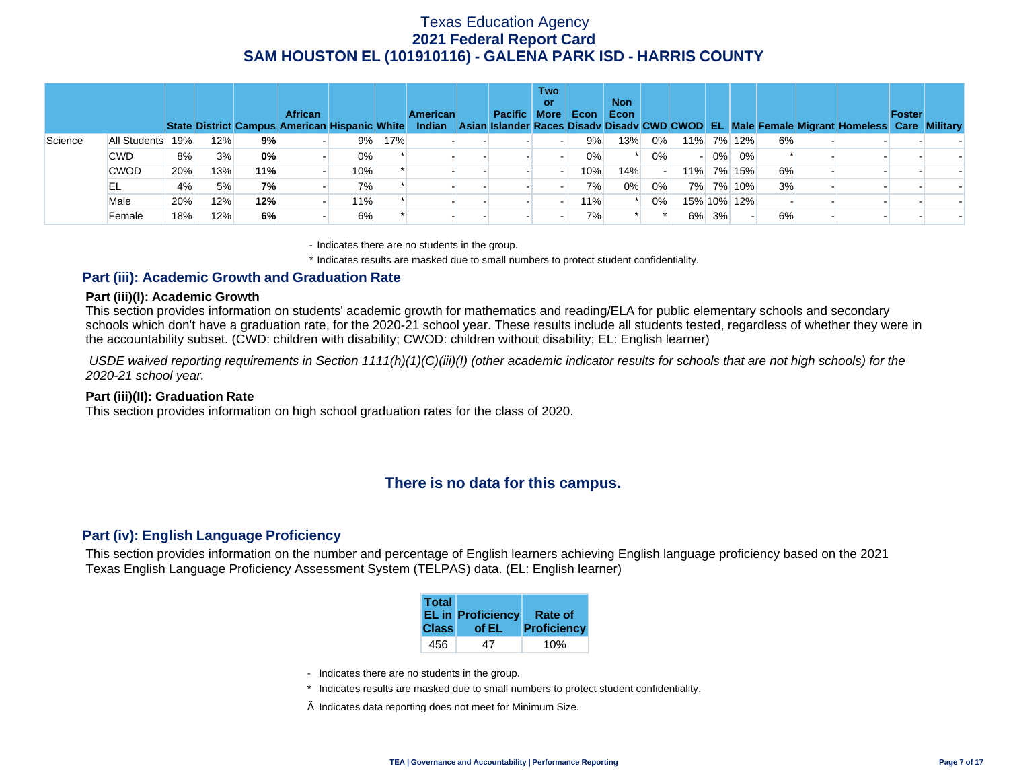|         |              |     |     |     | <b>African</b> | State District Campus American Hispanic White |     | <b>American</b> | Pacific More | Two<br>or | Econ | <b>Non</b><br>Econ |       |          |             |    | Indian Asian Islander Races Disady Disady CWD CWOD EL Male Female Migrant Homeless Care Military | Foster |  |
|---------|--------------|-----|-----|-----|----------------|-----------------------------------------------|-----|-----------------|--------------|-----------|------|--------------------|-------|----------|-------------|----|--------------------------------------------------------------------------------------------------|--------|--|
| Science | All Students | 19% | 12% | 9%  |                | 9%                                            | 17% |                 |              |           | 9%   | 13%                | $0\%$ |          | 11% 7% 12%  | 6% |                                                                                                  |        |  |
|         | <b>CWD</b>   | 8%  | 3%  | 0%  |                | 0%                                            |     |                 |              |           | 0%   |                    | 0%    | $0\%$    | $0\%$       |    |                                                                                                  |        |  |
|         | <b>CWOD</b>  | 20% | 13% | 11% |                | 10%                                           |     |                 |              |           | 10%  | 14%                |       |          | 11% 7% 15%  | 6% |                                                                                                  |        |  |
|         | EL.          | 4%  | 5%  | 7%  |                | 7%                                            |     |                 |              |           | 7%   | 0%                 | 0%    |          | 7% 7% 10%   | 3% |                                                                                                  |        |  |
|         | Male         | 20% | 12% | 12% |                | 11%                                           |     |                 |              |           | 11%  |                    | $0\%$ |          | 15% 10% 12% |    |                                                                                                  |        |  |
|         | Female       | 18% | 12% | 6%  |                | 6%                                            |     |                 |              |           | 7%   |                    |       | $6\%$ 3% |             | 6% |                                                                                                  |        |  |

- Indicates there are no students in the group.

\* Indicates results are masked due to small numbers to protect student confidentiality.

### **Part (iii): Academic Growth and Graduation Rate**

#### **Part (iii)(I): Academic Growth**

This section provides information on students' academic growth for mathematics and reading/ELA for public elementary schools and secondary schools which don't have a graduation rate, for the 2020-21 school year. These results include all students tested, regardless of whether they were in the accountability subset. (CWD: children with disability; CWOD: children without disability; EL: English learner)

 *USDE waived reporting requirements in Section 1111(h)(1)(C)(iii)(I) (other academic indicator results for schools that are not high schools) for the 2020-21 school year.* 

#### **Part (iii)(II): Graduation Rate**

This section provides information on high school graduation rates for the class of 2020.

## **There is no data for this campus.**

### **Part (iv): English Language Proficiency**

This section provides information on the number and percentage of English learners achieving English language proficiency based on the 2021 Texas English Language Proficiency Assessment System (TELPAS) data. (EL: English learner)

| <b>Total</b> | <b>EL in Proficiency</b> | Rate of     |
|--------------|--------------------------|-------------|
| <b>Class</b> | of EL                    | Proficiency |
| 456          | 47                       |             |

- Indicates there are no students in the group.
- \* Indicates results are masked due to small numbers to protect student confidentiality.
- $\diamond$  Indicates data reporting does not meet for Minimum Size.